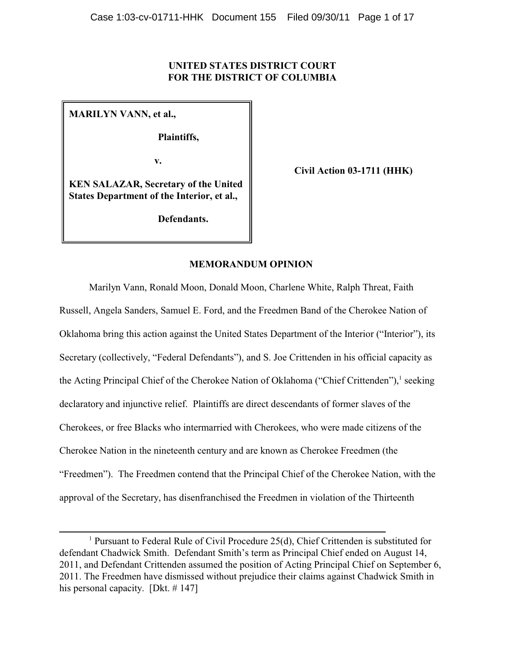# **UNITED STATES DISTRICT COURT FOR THE DISTRICT OF COLUMBIA**

**MARILYN VANN, et al.,**

**Plaintiffs,**

 **v.**

**Civil Action 03-1711 (HHK)**

**KEN SALAZAR, Secretary of the United States Department of the Interior, et al.,**

**Defendants.**

# **MEMORANDUM OPINION**

Marilyn Vann, Ronald Moon, Donald Moon, Charlene White, Ralph Threat, Faith Russell, Angela Sanders, Samuel E. Ford, and the Freedmen Band of the Cherokee Nation of Oklahoma bring this action against the United States Department of the Interior ("Interior"), its Secretary (collectively, "Federal Defendants"), and S. Joe Crittenden in his official capacity as the Acting Principal Chief of the Cherokee Nation of Oklahoma ("Chief Crittenden"),<sup>1</sup> seeking declaratory and injunctive relief. Plaintiffs are direct descendants of former slaves of the Cherokees, or free Blacks who intermarried with Cherokees, who were made citizens of the Cherokee Nation in the nineteenth century and are known as Cherokee Freedmen (the "Freedmen"). The Freedmen contend that the Principal Chief of the Cherokee Nation, with the approval of the Secretary, has disenfranchised the Freedmen in violation of the Thirteenth

<sup>&</sup>lt;sup>1</sup> Pursuant to Federal Rule of Civil Procedure  $25(d)$ , Chief Crittenden is substituted for defendant Chadwick Smith. Defendant Smith's term as Principal Chief ended on August 14, 2011, and Defendant Crittenden assumed the position of Acting Principal Chief on September 6, 2011. The Freedmen have dismissed without prejudice their claims against Chadwick Smith in his personal capacity. [Dkt. #147]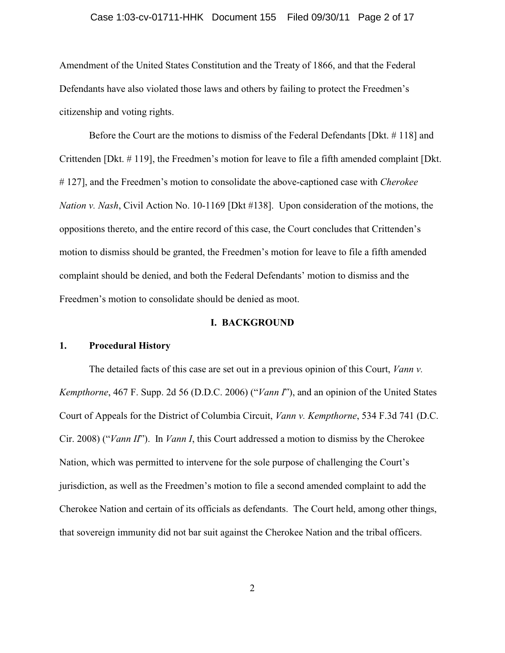### Case 1:03-cv-01711-HHK Document 155 Filed 09/30/11 Page 2 of 17

Amendment of the United States Constitution and the Treaty of 1866, and that the Federal Defendants have also violated those laws and others by failing to protect the Freedmen's citizenship and voting rights.

Before the Court are the motions to dismiss of the Federal Defendants [Dkt. # 118] and Crittenden [Dkt. # 119], the Freedmen's motion for leave to file a fifth amended complaint [Dkt. # 127], and the Freedmen's motion to consolidate the above-captioned case with *Cherokee Nation v. Nash*, Civil Action No. 10-1169 [Dkt #138]. Upon consideration of the motions, the oppositions thereto, and the entire record of this case, the Court concludes that Crittenden's motion to dismiss should be granted, the Freedmen's motion for leave to file a fifth amended complaint should be denied, and both the Federal Defendants' motion to dismiss and the Freedmen's motion to consolidate should be denied as moot.

#### **I. BACKGROUND**

## **1. Procedural History**

The detailed facts of this case are set out in a previous opinion of this Court, *Vann v. Kempthorne*, 467 F. Supp. 2d 56 (D.D.C. 2006) ("*Vann I*"), and an opinion of the United States Court of Appeals for the District of Columbia Circuit, *Vann v. Kempthorne*, 534 F.3d 741 (D.C. Cir. 2008) ("*Vann II*"). In *Vann I*, this Court addressed a motion to dismiss by the Cherokee Nation, which was permitted to intervene for the sole purpose of challenging the Court's jurisdiction, as well as the Freedmen's motion to file a second amended complaint to add the Cherokee Nation and certain of its officials as defendants. The Court held, among other things, that sovereign immunity did not bar suit against the Cherokee Nation and the tribal officers.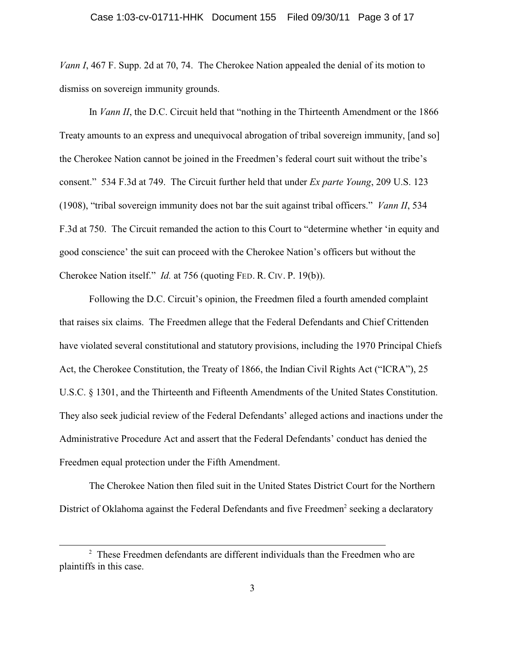*Vann I*, 467 F. Supp. 2d at 70, 74. The Cherokee Nation appealed the denial of its motion to dismiss on sovereign immunity grounds.

In *Vann II*, the D.C. Circuit held that "nothing in the Thirteenth Amendment or the 1866 Treaty amounts to an express and unequivocal abrogation of tribal sovereign immunity, [and so] the Cherokee Nation cannot be joined in the Freedmen's federal court suit without the tribe's consent." 534 F.3d at 749. The Circuit further held that under *Ex parte Young*, 209 U.S. 123 (1908), "tribal sovereign immunity does not bar the suit against tribal officers." *Vann II*, 534 F.3d at 750. The Circuit remanded the action to this Court to "determine whether 'in equity and good conscience' the suit can proceed with the Cherokee Nation's officers but without the Cherokee Nation itself." *Id.* at 756 (quoting FED. R. CIV. P. 19(b)).

Following the D.C. Circuit's opinion, the Freedmen filed a fourth amended complaint that raises six claims. The Freedmen allege that the Federal Defendants and Chief Crittenden have violated several constitutional and statutory provisions, including the 1970 Principal Chiefs Act, the Cherokee Constitution, the Treaty of 1866, the Indian Civil Rights Act ("ICRA"), 25 U.S.C. § 1301, and the Thirteenth and Fifteenth Amendments of the United States Constitution. They also seek judicial review of the Federal Defendants' alleged actions and inactions under the Administrative Procedure Act and assert that the Federal Defendants' conduct has denied the Freedmen equal protection under the Fifth Amendment.

The Cherokee Nation then filed suit in the United States District Court for the Northern District of Oklahoma against the Federal Defendants and five Freedmen<sup>2</sup> seeking a declaratory

 $2$  These Freedmen defendants are different individuals than the Freedmen who are plaintiffs in this case.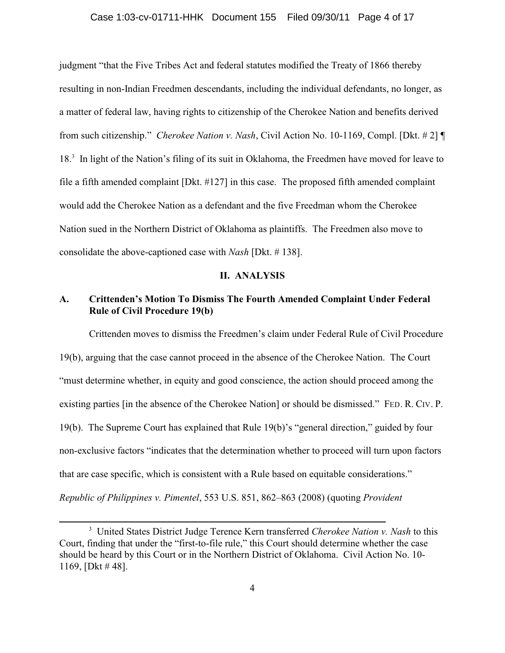### Case 1:03-cv-01711-HHK Document 155 Filed 09/30/11 Page 4 of 17

judgment "that the Five Tribes Act and federal statutes modified the Treaty of 1866 thereby resulting in non-Indian Freedmen descendants, including the individual defendants, no longer, as a matter of federal law, having rights to citizenship of the Cherokee Nation and benefits derived from such citizenship." *Cherokee Nation v. Nash*, Civil Action No. 10-1169, Compl. [Dkt. # 2] ¶ 18<sup>3</sup> In light of the Nation's filing of its suit in Oklahoma, the Freedmen have moved for leave to file a fifth amended complaint [Dkt. #127] in this case. The proposed fifth amended complaint would add the Cherokee Nation as a defendant and the five Freedman whom the Cherokee Nation sued in the Northern District of Oklahoma as plaintiffs. The Freedmen also move to consolidate the above-captioned case with *Nash* [Dkt. # 138].

#### **II. ANALYSIS**

# **A. Crittenden's Motion To Dismiss The Fourth Amended Complaint Under Federal Rule of Civil Procedure 19(b)**

Crittenden moves to dismiss the Freedmen's claim under Federal Rule of Civil Procedure 19(b), arguing that the case cannot proceed in the absence of the Cherokee Nation. The Court "must determine whether, in equity and good conscience, the action should proceed among the existing parties [in the absence of the Cherokee Nation] or should be dismissed." FED. R. CIV. P. 19(b). The Supreme Court has explained that Rule 19(b)'s "general direction," guided by four non-exclusive factors "indicates that the determination whether to proceed will turn upon factors that are case specific, which is consistent with a Rule based on equitable considerations." *Republic of Philippines v. Pimentel*, 553 U.S. 851, 862–863 (2008) (quoting *Provident*

United States District Judge Terence Kern transferred *Cherokee Nation v. Nash* to this <sup>3</sup> Court, finding that under the "first-to-file rule," this Court should determine whether the case should be heard by this Court or in the Northern District of Oklahoma. Civil Action No. 10- 1169, [Dkt # 48].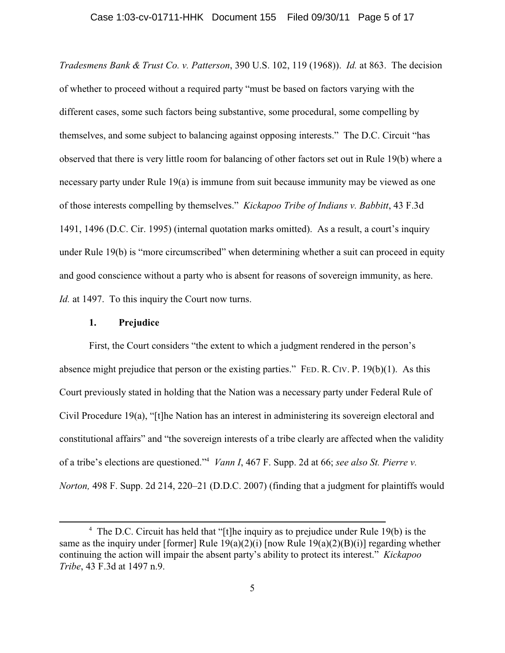*Tradesmens Bank & Trust Co. v. Patterson*, 390 U.S. 102, 119 (1968)). *Id.* at 863. The decision of whether to proceed without a required party "must be based on factors varying with the different cases, some such factors being substantive, some procedural, some compelling by themselves, and some subject to balancing against opposing interests." The D.C. Circuit "has observed that there is very little room for balancing of other factors set out in Rule 19(b) where a necessary party under Rule 19(a) is immune from suit because immunity may be viewed as one of those interests compelling by themselves." *Kickapoo Tribe of Indians v. Babbitt*, 43 F.3d 1491, 1496 (D.C. Cir. 1995) (internal quotation marks omitted). As a result, a court's inquiry under Rule 19(b) is "more circumscribed" when determining whether a suit can proceed in equity and good conscience without a party who is absent for reasons of sovereign immunity, as here. *Id.* at 1497. To this inquiry the Court now turns.

### **1. Prejudice**

First, the Court considers "the extent to which a judgment rendered in the person's absence might prejudice that person or the existing parties." FED. R. CIV. P. 19(b)(1). As this Court previously stated in holding that the Nation was a necessary party under Federal Rule of Civil Procedure 19(a), "[t]he Nation has an interest in administering its sovereign electoral and constitutional affairs" and "the sovereign interests of a tribe clearly are affected when the validity of a tribe's elections are questioned." *Vann I*, 467 F. Supp. 2d at 66; *see also St. Pierre v.* <sup>4</sup> *Norton,* 498 F. Supp. 2d 214, 220–21 (D.D.C. 2007) (finding that a judgment for plaintiffs would

<sup>&</sup>lt;sup>4</sup> The D.C. Circuit has held that "[t]he inquiry as to prejudice under Rule 19(b) is the same as the inquiry under [former] Rule  $19(a)(2)(i)$  [now Rule  $19(a)(2)(B)(i)$ ] regarding whether continuing the action will impair the absent party's ability to protect its interest." *Kickapoo Tribe*, 43 F.3d at 1497 n.9.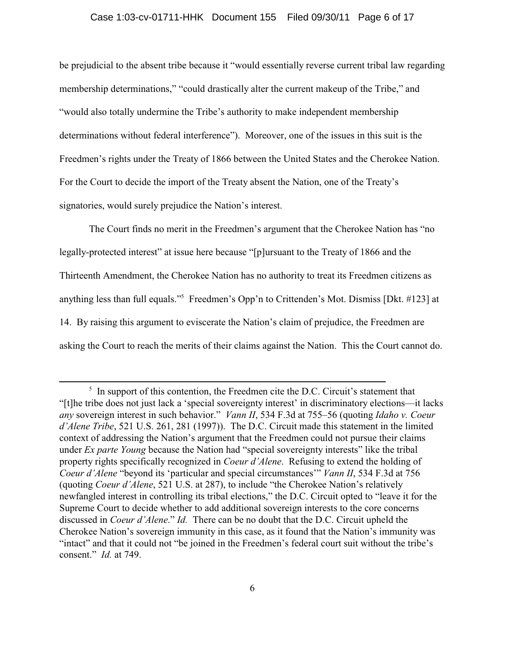### Case 1:03-cv-01711-HHK Document 155 Filed 09/30/11 Page 6 of 17

be prejudicial to the absent tribe because it "would essentially reverse current tribal law regarding membership determinations," "could drastically alter the current makeup of the Tribe," and "would also totally undermine the Tribe's authority to make independent membership determinations without federal interference"). Moreover, one of the issues in this suit is the Freedmen's rights under the Treaty of 1866 between the United States and the Cherokee Nation. For the Court to decide the import of the Treaty absent the Nation, one of the Treaty's signatories, would surely prejudice the Nation's interest.

The Court finds no merit in the Freedmen's argument that the Cherokee Nation has "no legally-protected interest" at issue here because "[p]ursuant to the Treaty of 1866 and the Thirteenth Amendment, the Cherokee Nation has no authority to treat its Freedmen citizens as anything less than full equals."<sup>5</sup> Freedmen's Opp'n to Crittenden's Mot. Dismiss [Dkt. #123] at 14. By raising this argument to eviscerate the Nation's claim of prejudice, the Freedmen are asking the Court to reach the merits of their claims against the Nation. This the Court cannot do.

 $\frac{1}{2}$  In support of this contention, the Freedmen cite the D.C. Circuit's statement that "[t]he tribe does not just lack a 'special sovereignty interest' in discriminatory elections—it lacks *any* sovereign interest in such behavior." *Vann II*, 534 F.3d at 755–56 (quoting *Idaho v. Coeur d'Alene Tribe*, 521 U.S. 261, 281 (1997)). The D.C. Circuit made this statement in the limited context of addressing the Nation's argument that the Freedmen could not pursue their claims under *Ex parte Young* because the Nation had "special sovereignty interests" like the tribal property rights specifically recognized in *Coeur d'Alene*. Refusing to extend the holding of *Coeur d'Alene* "beyond its 'particular and special circumstances'" *Vann II*, 534 F.3d at 756 (quoting *Coeur d'Alene*, 521 U.S. at 287), to include "the Cherokee Nation's relatively newfangled interest in controlling its tribal elections," the D.C. Circuit opted to "leave it for the Supreme Court to decide whether to add additional sovereign interests to the core concerns discussed in *Coeur d'Alene*." *Id.* There can be no doubt that the D.C. Circuit upheld the Cherokee Nation's sovereign immunity in this case, as it found that the Nation's immunity was "intact" and that it could not "be joined in the Freedmen's federal court suit without the tribe's consent." *Id.* at 749.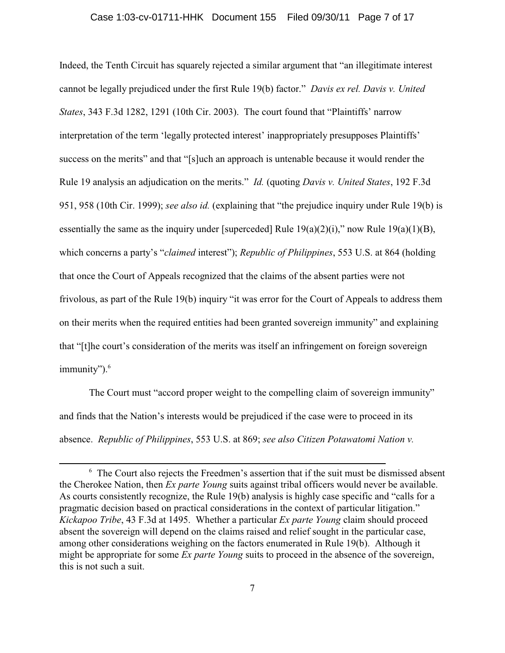Indeed, the Tenth Circuit has squarely rejected a similar argument that "an illegitimate interest cannot be legally prejudiced under the first Rule 19(b) factor." *Davis ex rel. Davis v. United States*, 343 F.3d 1282, 1291 (10th Cir. 2003). The court found that "Plaintiffs' narrow interpretation of the term 'legally protected interest' inappropriately presupposes Plaintiffs' success on the merits" and that "[s]uch an approach is untenable because it would render the Rule 19 analysis an adjudication on the merits." *Id.* (quoting *Davis v. United States*, 192 F.3d 951, 958 (10th Cir. 1999); *see also id.* (explaining that "the prejudice inquiry under Rule 19(b) is essentially the same as the inquiry under [superceded] Rule  $19(a)(2)(i)$ ," now Rule  $19(a)(1)(B)$ , which concerns a party's "*claimed* interest"); *Republic of Philippines*, 553 U.S. at 864 (holding that once the Court of Appeals recognized that the claims of the absent parties were not frivolous, as part of the Rule 19(b) inquiry "it was error for the Court of Appeals to address them on their merits when the required entities had been granted sovereign immunity" and explaining that "[t]he court's consideration of the merits was itself an infringement on foreign sovereign immunity").<sup>6</sup>

The Court must "accord proper weight to the compelling claim of sovereign immunity" and finds that the Nation's interests would be prejudiced if the case were to proceed in its absence. *Republic of Philippines*, 553 U.S. at 869; *see also Citizen Potawatomi Nation v.*

 $6\text{ The Court also rejects the Freedom's assertion that if the suit must be dismissed absent.}$ the Cherokee Nation, then *Ex parte Young* suits against tribal officers would never be available. As courts consistently recognize, the Rule 19(b) analysis is highly case specific and "calls for a pragmatic decision based on practical considerations in the context of particular litigation." *Kickapoo Tribe*, 43 F.3d at 1495. Whether a particular *Ex parte Young* claim should proceed absent the sovereign will depend on the claims raised and relief sought in the particular case, among other considerations weighing on the factors enumerated in Rule 19(b). Although it might be appropriate for some *Ex parte Young* suits to proceed in the absence of the sovereign, this is not such a suit.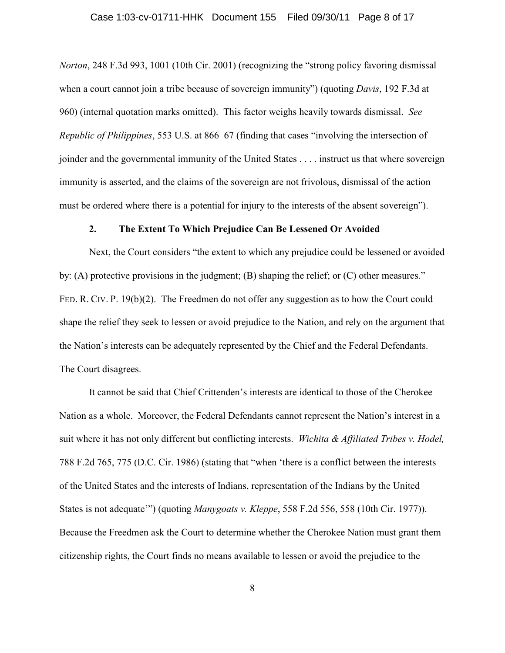### Case 1:03-cv-01711-HHK Document 155 Filed 09/30/11 Page 8 of 17

*Norton*, 248 F.3d 993, 1001 (10th Cir. 2001) (recognizing the "strong policy favoring dismissal when a court cannot join a tribe because of sovereign immunity") (quoting *Davis*, 192 F.3d at 960) (internal quotation marks omitted). This factor weighs heavily towards dismissal. *See Republic of Philippines*, 553 U.S. at 866–67 (finding that cases "involving the intersection of joinder and the governmental immunity of the United States . . . . instruct us that where sovereign immunity is asserted, and the claims of the sovereign are not frivolous, dismissal of the action must be ordered where there is a potential for injury to the interests of the absent sovereign").

### **2. The Extent To Which Prejudice Can Be Lessened Or Avoided**

Next, the Court considers "the extent to which any prejudice could be lessened or avoided by: (A) protective provisions in the judgment; (B) shaping the relief; or (C) other measures." FED. R. CIV. P. 19(b)(2). The Freedmen do not offer any suggestion as to how the Court could shape the relief they seek to lessen or avoid prejudice to the Nation, and rely on the argument that the Nation's interests can be adequately represented by the Chief and the Federal Defendants. The Court disagrees.

It cannot be said that Chief Crittenden's interests are identical to those of the Cherokee Nation as a whole. Moreover, the Federal Defendants cannot represent the Nation's interest in a suit where it has not only different but conflicting interests. *Wichita & Affiliated Tribes v. Hodel,* 788 F.2d 765, 775 (D.C. Cir. 1986) (stating that "when 'there is a conflict between the interests of the United States and the interests of Indians, representation of the Indians by the United States is not adequate'") (quoting *Manygoats v. Kleppe*, 558 F.2d 556, 558 (10th Cir. 1977)). Because the Freedmen ask the Court to determine whether the Cherokee Nation must grant them citizenship rights, the Court finds no means available to lessen or avoid the prejudice to the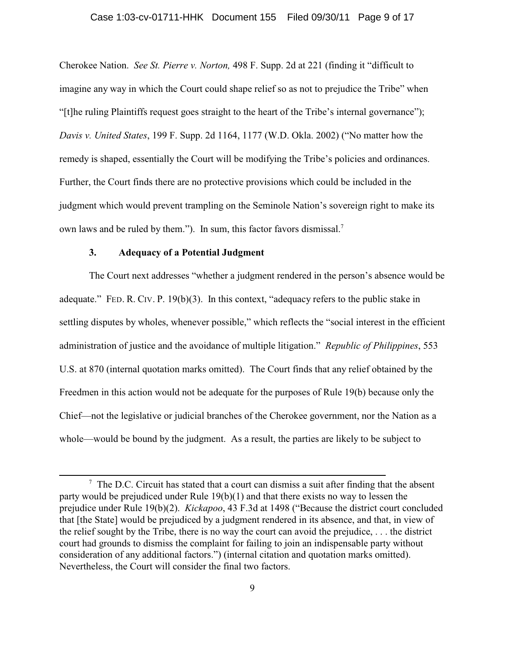### Case 1:03-cv-01711-HHK Document 155 Filed 09/30/11 Page 9 of 17

Cherokee Nation. *See St. Pierre v. Norton,* 498 F. Supp. 2d at 221 (finding it "difficult to imagine any way in which the Court could shape relief so as not to prejudice the Tribe" when "[t]he ruling Plaintiffs request goes straight to the heart of the Tribe's internal governance"); *Davis v. United States*, 199 F. Supp. 2d 1164, 1177 (W.D. Okla. 2002) ("No matter how the remedy is shaped, essentially the Court will be modifying the Tribe's policies and ordinances. Further, the Court finds there are no protective provisions which could be included in the judgment which would prevent trampling on the Seminole Nation's sovereign right to make its own laws and be ruled by them."). In sum, this factor favors dismissal.<sup>7</sup>

# **3. Adequacy of a Potential Judgment**

The Court next addresses "whether a judgment rendered in the person's absence would be adequate." FED. R. CIV. P. 19(b)(3). In this context, "adequacy refers to the public stake in settling disputes by wholes, whenever possible," which reflects the "social interest in the efficient administration of justice and the avoidance of multiple litigation." *Republic of Philippines*, 553 U.S. at 870 (internal quotation marks omitted). The Court finds that any relief obtained by the Freedmen in this action would not be adequate for the purposes of Rule 19(b) because only the Chief—not the legislative or judicial branches of the Cherokee government, nor the Nation as a whole—would be bound by the judgment. As a result, the parties are likely to be subject to

 $\frac{7}{7}$  The D.C. Circuit has stated that a court can dismiss a suit after finding that the absent party would be prejudiced under Rule 19(b)(1) and that there exists no way to lessen the prejudice under Rule 19(b)(2). *Kickapoo*, 43 F.3d at 1498 ("Because the district court concluded that [the State] would be prejudiced by a judgment rendered in its absence, and that, in view of the relief sought by the Tribe, there is no way the court can avoid the prejudice, . . . the district court had grounds to dismiss the complaint for failing to join an indispensable party without consideration of any additional factors.") (internal citation and quotation marks omitted). Nevertheless, the Court will consider the final two factors.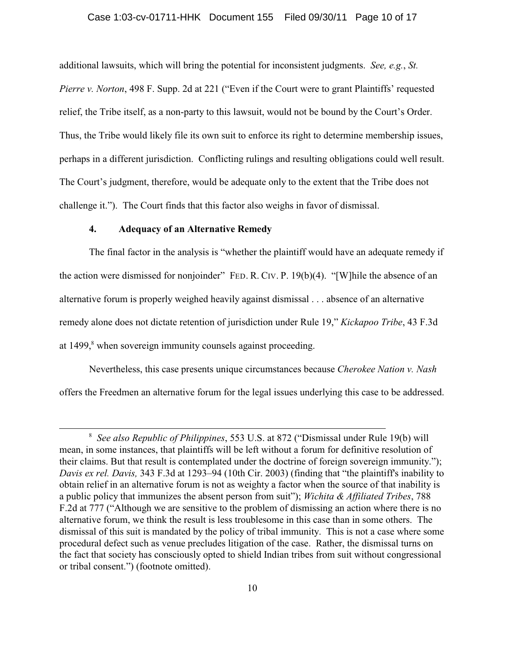### Case 1:03-cv-01711-HHK Document 155 Filed 09/30/11 Page 10 of 17

additional lawsuits, which will bring the potential for inconsistent judgments. *See, e.g.*, *St. Pierre v. Norton*, 498 F. Supp. 2d at 221 ("Even if the Court were to grant Plaintiffs' requested relief, the Tribe itself, as a non-party to this lawsuit, would not be bound by the Court's Order. Thus, the Tribe would likely file its own suit to enforce its right to determine membership issues, perhaps in a different jurisdiction. Conflicting rulings and resulting obligations could well result. The Court's judgment, therefore, would be adequate only to the extent that the Tribe does not challenge it."). The Court finds that this factor also weighs in favor of dismissal.

### **4. Adequacy of an Alternative Remedy**

The final factor in the analysis is "whether the plaintiff would have an adequate remedy if the action were dismissed for nonjoinder" FED. R. CIV. P. 19(b)(4). "[W]hile the absence of an alternative forum is properly weighed heavily against dismissal . . . absence of an alternative remedy alone does not dictate retention of jurisdiction under Rule 19," *Kickapoo Tribe*, 43 F.3d at 1499,<sup>8</sup> when sovereign immunity counsels against proceeding.

Nevertheless, this case presents unique circumstances because *Cherokee Nation v. Nash* offers the Freedmen an alternative forum for the legal issues underlying this case to be addressed.

*See also Republic of Philippines*, 553 U.S. at 872 ("Dismissal under Rule 19(b) will <sup>8</sup> mean, in some instances, that plaintiffs will be left without a forum for definitive resolution of their claims. But that result is contemplated under the doctrine of foreign sovereign immunity."); *Davis ex rel. Davis,* 343 F.3d at 1293–94 (10th Cir. 2003) (finding that "the plaintiff's inability to obtain relief in an alternative forum is not as weighty a factor when the source of that inability is a public policy that immunizes the absent person from suit"); *Wichita & Affiliated Tribes*, 788 F.2d at 777 ("Although we are sensitive to the problem of dismissing an action where there is no alternative forum, we think the result is less troublesome in this case than in some others. The dismissal of this suit is mandated by the policy of tribal immunity. This is not a case where some procedural defect such as venue precludes litigation of the case. Rather, the dismissal turns on the fact that society has consciously opted to shield Indian tribes from suit without congressional or tribal consent.") (footnote omitted).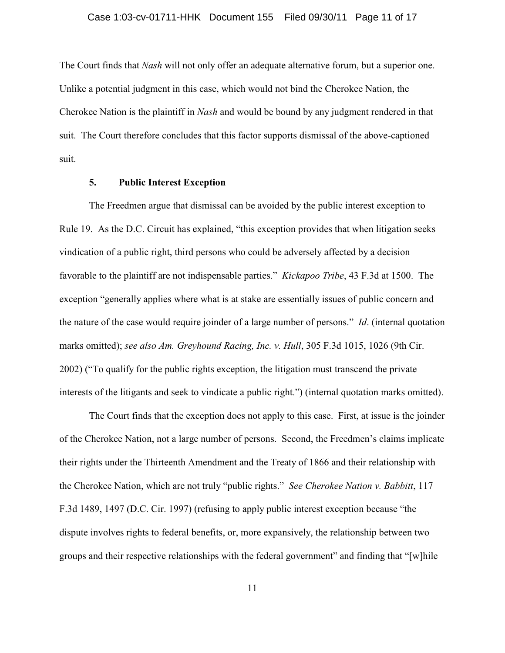The Court finds that *Nash* will not only offer an adequate alternative forum, but a superior one. Unlike a potential judgment in this case, which would not bind the Cherokee Nation, the Cherokee Nation is the plaintiff in *Nash* and would be bound by any judgment rendered in that suit. The Court therefore concludes that this factor supports dismissal of the above-captioned suit.

### **5. Public Interest Exception**

The Freedmen argue that dismissal can be avoided by the public interest exception to Rule 19. As the D.C. Circuit has explained, "this exception provides that when litigation seeks vindication of a public right, third persons who could be adversely affected by a decision favorable to the plaintiff are not indispensable parties." *Kickapoo Tribe*, 43 F.3d at 1500. The exception "generally applies where what is at stake are essentially issues of public concern and the nature of the case would require joinder of a large number of persons." *Id*. (internal quotation marks omitted); *see also Am. Greyhound Racing, Inc. v. Hull*, 305 F.3d 1015, 1026 (9th Cir. 2002) ("To qualify for the public rights exception, the litigation must transcend the private interests of the litigants and seek to vindicate a public right.") (internal quotation marks omitted).

The Court finds that the exception does not apply to this case. First, at issue is the joinder of the Cherokee Nation, not a large number of persons. Second, the Freedmen's claims implicate their rights under the Thirteenth Amendment and the Treaty of 1866 and their relationship with the Cherokee Nation, which are not truly "public rights." *See Cherokee Nation v. Babbitt*, 117 F.3d 1489, 1497 (D.C. Cir. 1997) (refusing to apply public interest exception because "the dispute involves rights to federal benefits, or, more expansively, the relationship between two groups and their respective relationships with the federal government" and finding that "[w]hile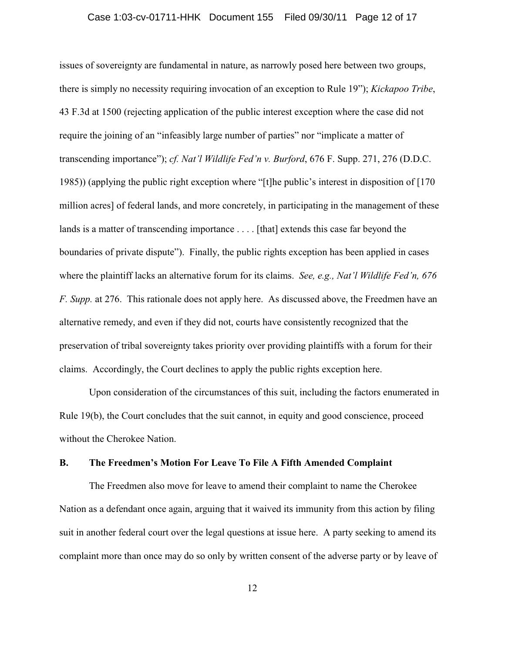issues of sovereignty are fundamental in nature, as narrowly posed here between two groups, there is simply no necessity requiring invocation of an exception to Rule 19"); *Kickapoo Tribe*, 43 F.3d at 1500 (rejecting application of the public interest exception where the case did not require the joining of an "infeasibly large number of parties" nor "implicate a matter of transcending importance"); *cf. Nat'l Wildlife Fed'n v. Burford*, 676 F. Supp. 271, 276 (D.D.C. 1985)) (applying the public right exception where "[t]he public's interest in disposition of [170 million acres] of federal lands, and more concretely, in participating in the management of these lands is a matter of transcending importance .... [that] extends this case far beyond the boundaries of private dispute"). Finally, the public rights exception has been applied in cases where the plaintiff lacks an alternative forum for its claims. *See, e.g., Nat'l Wildlife Fed'n, 676 F. Supp.* at 276. This rationale does not apply here. As discussed above, the Freedmen have an alternative remedy, and even if they did not, courts have consistently recognized that the preservation of tribal sovereignty takes priority over providing plaintiffs with a forum for their claims. Accordingly, the Court declines to apply the public rights exception here.

Upon consideration of the circumstances of this suit, including the factors enumerated in Rule 19(b), the Court concludes that the suit cannot, in equity and good conscience, proceed without the Cherokee Nation.

# **B. The Freedmen's Motion For Leave To File A Fifth Amended Complaint**

The Freedmen also move for leave to amend their complaint to name the Cherokee Nation as a defendant once again, arguing that it waived its immunity from this action by filing suit in another federal court over the legal questions at issue here. A party seeking to amend its complaint more than once may do so only by written consent of the adverse party or by leave of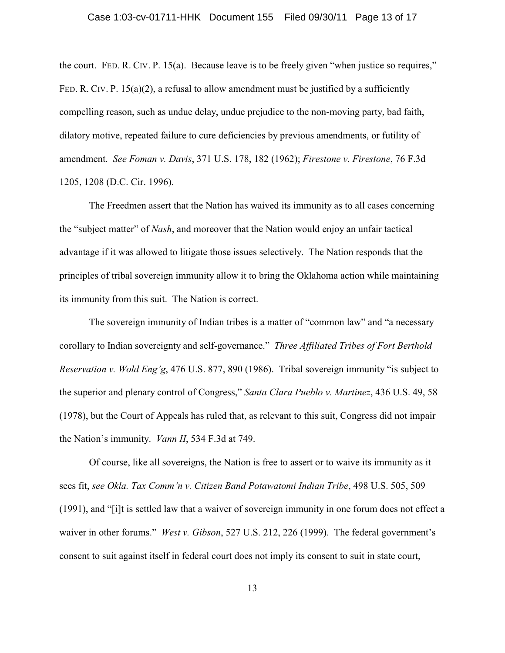the court. FED. R. CIV. P. 15(a). Because leave is to be freely given "when justice so requires," FED. R. CIV. P.  $15(a)(2)$ , a refusal to allow amendment must be justified by a sufficiently compelling reason, such as undue delay, undue prejudice to the non-moving party, bad faith, dilatory motive, repeated failure to cure deficiencies by previous amendments, or futility of amendment. *See Foman v. Davis*, 371 U.S. 178, 182 (1962); *Firestone v. Firestone*, 76 F.3d 1205, 1208 (D.C. Cir. 1996).

The Freedmen assert that the Nation has waived its immunity as to all cases concerning the "subject matter" of *Nash*, and moreover that the Nation would enjoy an unfair tactical advantage if it was allowed to litigate those issues selectively. The Nation responds that the principles of tribal sovereign immunity allow it to bring the Oklahoma action while maintaining its immunity from this suit. The Nation is correct.

The sovereign immunity of Indian tribes is a matter of "common law" and "a necessary corollary to Indian sovereignty and self-governance." *Three Affiliated Tribes of Fort Berthold Reservation v. Wold Eng'g*, 476 U.S. 877, 890 (1986). Tribal sovereign immunity "is subject to the superior and plenary control of Congress," *Santa Clara Pueblo v. Martinez*, 436 U.S. 49, 58 (1978), but the Court of Appeals has ruled that, as relevant to this suit, Congress did not impair the Nation's immunity. *Vann II*, 534 F.3d at 749.

Of course, like all sovereigns, the Nation is free to assert or to waive its immunity as it sees fit, *see Okla. Tax Comm'n v. Citizen Band Potawatomi Indian Tribe*, 498 U.S. 505, 509 (1991), and "[i]t is settled law that a waiver of sovereign immunity in one forum does not effect a waiver in other forums." *West v. Gibson*, 527 U.S. 212, 226 (1999). The federal government's consent to suit against itself in federal court does not imply its consent to suit in state court,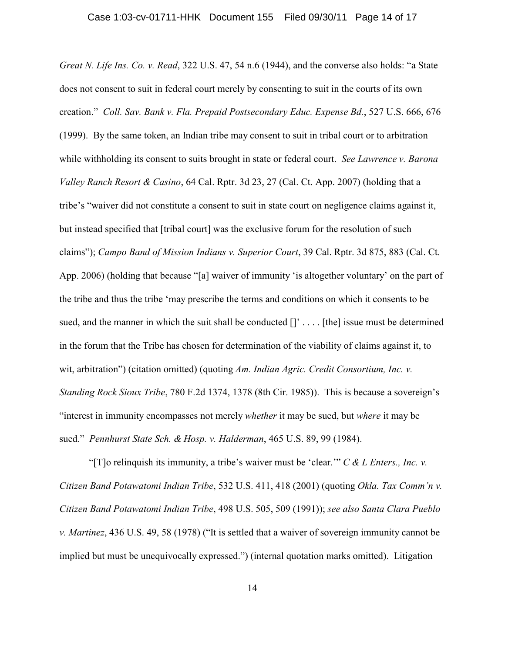*Great N. Life Ins. Co. v. Read*, 322 U.S. 47, 54 n.6 (1944), and the converse also holds: "a State does not consent to suit in federal court merely by consenting to suit in the courts of its own creation." *Coll. Sav. Bank v. Fla. Prepaid Postsecondary Educ. Expense Bd.*, 527 U.S. 666, 676 (1999). By the same token, an Indian tribe may consent to suit in tribal court or to arbitration while withholding its consent to suits brought in state or federal court. *See Lawrence v. Barona Valley Ranch Resort & Casino*, 64 Cal. Rptr. 3d 23, 27 (Cal. Ct. App. 2007) (holding that a tribe's "waiver did not constitute a consent to suit in state court on negligence claims against it, but instead specified that [tribal court] was the exclusive forum for the resolution of such claims"); *Campo Band of Mission Indians v. Superior Court*, 39 Cal. Rptr. 3d 875, 883 (Cal. Ct. App. 2006) (holding that because "[a] waiver of immunity 'is altogether voluntary' on the part of the tribe and thus the tribe 'may prescribe the terms and conditions on which it consents to be sued, and the manner in which the suit shall be conducted  $[]' \dots$  [the] issue must be determined in the forum that the Tribe has chosen for determination of the viability of claims against it, to wit, arbitration") (citation omitted) (quoting *Am. Indian Agric. Credit Consortium, Inc. v. Standing Rock Sioux Tribe*, 780 F.2d 1374, 1378 (8th Cir. 1985)). This is because a sovereign's "interest in immunity encompasses not merely *whether* it may be sued, but *where* it may be sued." *Pennhurst State Sch. & Hosp. v. Halderman*, 465 U.S. 89, 99 (1984).

"[T]o relinquish its immunity, a tribe's waiver must be 'clear.'" *C & L Enters., Inc. v. Citizen Band Potawatomi Indian Tribe*, 532 U.S. 411, 418 (2001) (quoting *Okla. Tax Comm'n v. Citizen Band Potawatomi Indian Tribe*, 498 U.S. 505, 509 (1991)); *see also Santa Clara Pueblo v. Martinez*, 436 U.S. 49, 58 (1978) ("It is settled that a waiver of sovereign immunity cannot be implied but must be unequivocally expressed.") (internal quotation marks omitted). Litigation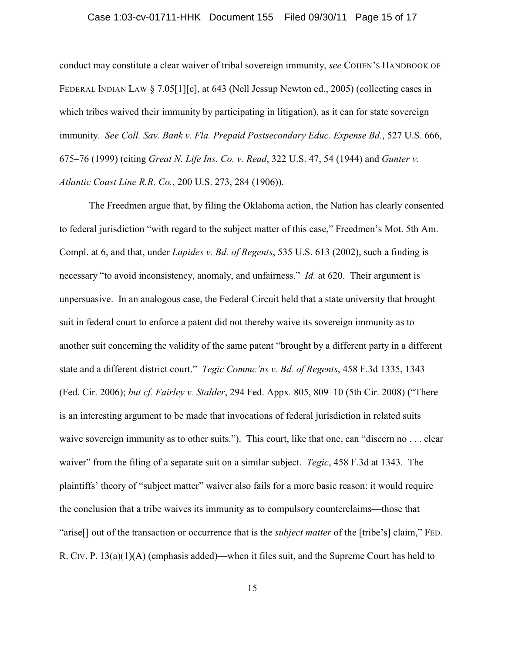### Case 1:03-cv-01711-HHK Document 155 Filed 09/30/11 Page 15 of 17

conduct may constitute a clear waiver of tribal sovereign immunity, *see* COHEN'S HANDBOOK OF FEDERAL INDIAN LAW § 7.05[1][c], at 643 (Nell Jessup Newton ed., 2005) (collecting cases in which tribes waived their immunity by participating in litigation), as it can for state sovereign immunity. *See Coll. Sav. Bank v. Fla. Prepaid Postsecondary Educ. Expense Bd.*, 527 U.S. 666, 675–76 (1999) (citing *Great N. Life Ins. Co. v. Read*, 322 U.S. 47, 54 (1944) and *Gunter v. Atlantic Coast Line R.R. Co.*, 200 U.S. 273, 284 (1906)).

The Freedmen argue that, by filing the Oklahoma action, the Nation has clearly consented to federal jurisdiction "with regard to the subject matter of this case," Freedmen's Mot. 5th Am. Compl. at 6, and that, under *Lapides v. Bd. of Regents*, 535 U.S. 613 (2002), such a finding is necessary "to avoid inconsistency, anomaly, and unfairness." *Id.* at 620. Their argument is unpersuasive. In an analogous case, the Federal Circuit held that a state university that brought suit in federal court to enforce a patent did not thereby waive its sovereign immunity as to another suit concerning the validity of the same patent "brought by a different party in a different state and a different district court." *Tegic Commc'ns v. Bd. of Regents*, 458 F.3d 1335, 1343 (Fed. Cir. 2006); *but cf. Fairley v. Stalder*, 294 Fed. Appx. 805, 809–10 (5th Cir. 2008) ("There is an interesting argument to be made that invocations of federal jurisdiction in related suits waive sovereign immunity as to other suits."). This court, like that one, can "discern no . . . clear waiver" from the filing of a separate suit on a similar subject. *Tegic*, 458 F.3d at 1343. The plaintiffs' theory of "subject matter" waiver also fails for a more basic reason: it would require the conclusion that a tribe waives its immunity as to compulsory counterclaims—those that "arise[] out of the transaction or occurrence that is the *subject matter* of the [tribe's] claim," FED. R. CIV. P. 13(a)(1)(A) (emphasis added)—when it files suit, and the Supreme Court has held to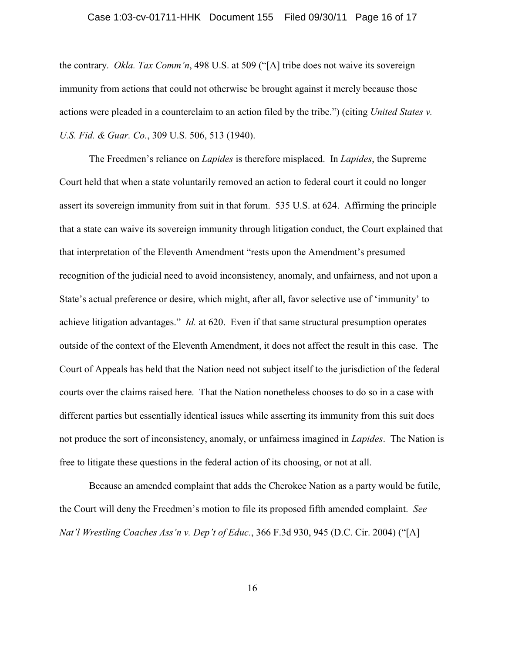### Case 1:03-cv-01711-HHK Document 155 Filed 09/30/11 Page 16 of 17

the contrary. *Okla. Tax Comm'n*, 498 U.S. at 509 ("[A] tribe does not waive its sovereign immunity from actions that could not otherwise be brought against it merely because those actions were pleaded in a counterclaim to an action filed by the tribe.") (citing *United States v. U.S. Fid. & Guar. Co.*, 309 U.S. 506, 513 (1940).

The Freedmen's reliance on *Lapides* is therefore misplaced. In *Lapides*, the Supreme Court held that when a state voluntarily removed an action to federal court it could no longer assert its sovereign immunity from suit in that forum. 535 U.S. at 624. Affirming the principle that a state can waive its sovereign immunity through litigation conduct, the Court explained that that interpretation of the Eleventh Amendment "rests upon the Amendment's presumed recognition of the judicial need to avoid inconsistency, anomaly, and unfairness, and not upon a State's actual preference or desire, which might, after all, favor selective use of 'immunity' to achieve litigation advantages." *Id.* at 620. Even if that same structural presumption operates outside of the context of the Eleventh Amendment, it does not affect the result in this case. The Court of Appeals has held that the Nation need not subject itself to the jurisdiction of the federal courts over the claims raised here. That the Nation nonetheless chooses to do so in a case with different parties but essentially identical issues while asserting its immunity from this suit does not produce the sort of inconsistency, anomaly, or unfairness imagined in *Lapides*. The Nation is free to litigate these questions in the federal action of its choosing, or not at all.

Because an amended complaint that adds the Cherokee Nation as a party would be futile, the Court will deny the Freedmen's motion to file its proposed fifth amended complaint. *See Nat'l Wrestling Coaches Ass'n v. Dep't of Educ.*, 366 F.3d 930, 945 (D.C. Cir. 2004) ("[A]